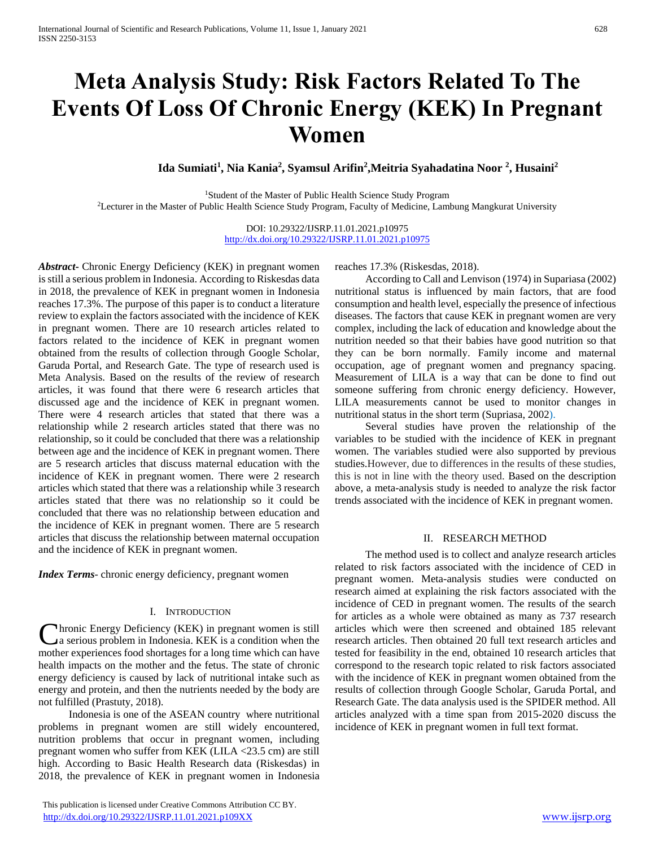# **Meta Analysis Study: Risk Factors Related To The Events Of Loss Of Chronic Energy (KEK) In Pregnant Women**

**Ida Sumiati<sup>1</sup> , Nia Kania<sup>2</sup> , Syamsul Arifin<sup>2</sup> ,Meitria Syahadatina Noor <sup>2</sup> , Husaini<sup>2</sup>**

<sup>1</sup>Student of the Master of Public Health Science Study Program <sup>2</sup>Lecturer in the Master of Public Health Science Study Program, Faculty of Medicine, Lambung Mangkurat University

> DOI: 10.29322/IJSRP.11.01.2021.p10975 <http://dx.doi.org/10.29322/IJSRP.11.01.2021.p10975>

*Abstract***-** Chronic Energy Deficiency (KEK) in pregnant women is still a serious problem in Indonesia. According to Riskesdas data in 2018, the prevalence of KEK in pregnant women in Indonesia reaches 17.3%. The purpose of this paper is to conduct a literature review to explain the factors associated with the incidence of KEK in pregnant women. There are 10 research articles related to factors related to the incidence of KEK in pregnant women obtained from the results of collection through Google Scholar, Garuda Portal, and Research Gate. The type of research used is Meta Analysis. Based on the results of the review of research articles, it was found that there were 6 research articles that discussed age and the incidence of KEK in pregnant women. There were 4 research articles that stated that there was a relationship while 2 research articles stated that there was no relationship, so it could be concluded that there was a relationship between age and the incidence of KEK in pregnant women. There are 5 research articles that discuss maternal education with the incidence of KEK in pregnant women. There were 2 research articles which stated that there was a relationship while 3 research articles stated that there was no relationship so it could be concluded that there was no relationship between education and the incidence of KEK in pregnant women. There are 5 research articles that discuss the relationship between maternal occupation and the incidence of KEK in pregnant women.

*Index Terms*- chronic energy deficiency, pregnant women

#### I. INTRODUCTION

hronic Energy Deficiency (KEK) in pregnant women is still a serious problem in Indonesia. KEK is a condition when the Chronic Energy Deficiency (KEK) in pregnant women is still<br>a serious problem in Indonesia. KEK is a condition when the<br>mother experiences food shortages for a long time which can have health impacts on the mother and the fetus. The state of chronic energy deficiency is caused by lack of nutritional intake such as energy and protein, and then the nutrients needed by the body are not fulfilled (Prastuty, 2018).

Indonesia is one of the ASEAN country where nutritional problems in pregnant women are still widely encountered, nutrition problems that occur in pregnant women, including pregnant women who suffer from KEK (LILA <23.5 cm) are still high. According to Basic Health Research data (Riskesdas) in 2018, the prevalence of KEK in pregnant women in Indonesia

 This publication is licensed under Creative Commons Attribution CC BY. <http://dx.doi.org/10.29322/IJSRP.11.01.2021.p109XX> [www.ijsrp.org](http://ijsrp.org/)

reaches 17.3% (Riskesdas, 2018).

According to Call and Lenvison (1974) in Supariasa (2002) nutritional status is influenced by main factors, that are food consumption and health level, especially the presence of infectious diseases. The factors that cause KEK in pregnant women are very complex, including the lack of education and knowledge about the nutrition needed so that their babies have good nutrition so that they can be born normally. Family income and maternal occupation, age of pregnant women and pregnancy spacing. Measurement of LILA is a way that can be done to find out someone suffering from chronic energy deficiency. However, LILA measurements cannot be used to monitor changes in nutritional status in the short term (Supriasa, 2002).

Several studies have proven the relationship of the variables to be studied with the incidence of KEK in pregnant women. The variables studied were also supported by previous studies.However, due to differences in the results of these studies, this is not in line with the theory used. Based on the description above, a meta-analysis study is needed to analyze the risk factor trends associated with the incidence of KEK in pregnant women.

#### II. RESEARCH METHOD

The method used is to collect and analyze research articles related to risk factors associated with the incidence of CED in pregnant women. Meta-analysis studies were conducted on research aimed at explaining the risk factors associated with the incidence of CED in pregnant women. The results of the search for articles as a whole were obtained as many as 737 research articles which were then screened and obtained 185 relevant research articles. Then obtained 20 full text research articles and tested for feasibility in the end, obtained 10 research articles that correspond to the research topic related to risk factors associated with the incidence of KEK in pregnant women obtained from the results of collection through Google Scholar, Garuda Portal, and Research Gate. The data analysis used is the SPIDER method. All articles analyzed with a time span from 2015-2020 discuss the incidence of KEK in pregnant women in full text format.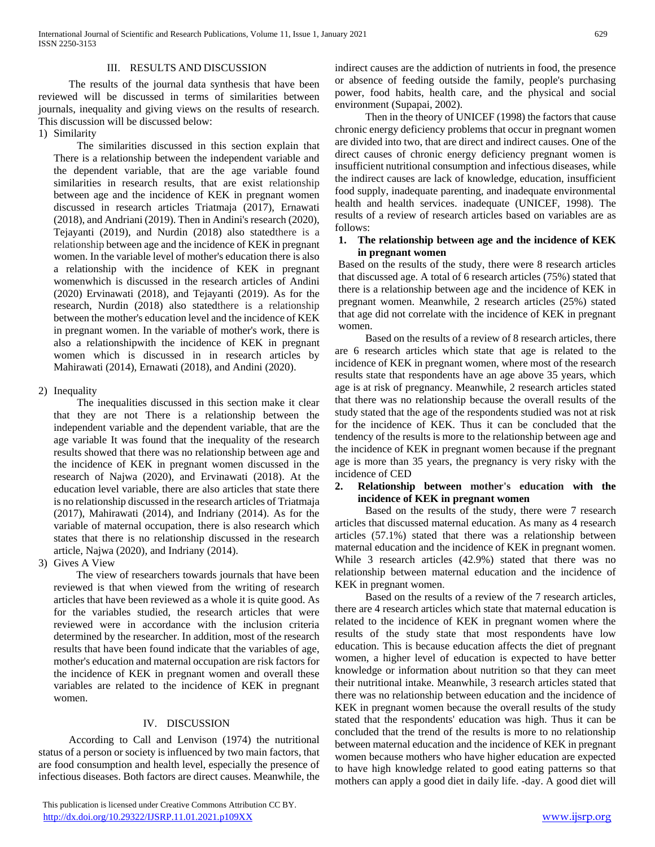#### III. RESULTS AND DISCUSSION

The results of the journal data synthesis that have been reviewed will be discussed in terms of similarities between journals, inequality and giving views on the results of research. This discussion will be discussed below:

#### 1) Similarity

The similarities discussed in this section explain that There is a relationship between the independent variable and the dependent variable, that are the age variable found similarities in research results, that are exist relationship between age and the incidence of KEK in pregnant women discussed in research articles Triatmaja (2017), Ernawati (2018), and Andriani (2019). Then in Andini's research (2020), Tejayanti (2019), and Nurdin (2018) also statedthere is a relationship between age and the incidence of KEK in pregnant women. In the variable level of mother's education there is also a relationship with the incidence of KEK in pregnant womenwhich is discussed in the research articles of Andini (2020) Ervinawati (2018), and Tejayanti (2019). As for the research, Nurdin (2018) also statedthere is a relationship between the mother's education level and the incidence of KEK in pregnant women. In the variable of mother's work, there is also a relationshipwith the incidence of KEK in pregnant women which is discussed in in research articles by Mahirawati (2014), Ernawati (2018), and Andini (2020).

#### 2) Inequality

The inequalities discussed in this section make it clear that they are not There is a relationship between the independent variable and the dependent variable, that are the age variable It was found that the inequality of the research results showed that there was no relationship between age and the incidence of KEK in pregnant women discussed in the research of Najwa (2020), and Ervinawati (2018). At the education level variable, there are also articles that state there is no relationship discussed in the research articles of Triatmaja (2017), Mahirawati (2014), and Indriany (2014). As for the variable of maternal occupation, there is also research which states that there is no relationship discussed in the research article, Najwa (2020), and Indriany (2014).

3) Gives A View

The view of researchers towards journals that have been reviewed is that when viewed from the writing of research articles that have been reviewed as a whole it is quite good. As for the variables studied, the research articles that were reviewed were in accordance with the inclusion criteria determined by the researcher. In addition, most of the research results that have been found indicate that the variables of age, mother's education and maternal occupation are risk factors for the incidence of KEK in pregnant women and overall these variables are related to the incidence of KEK in pregnant women.

## IV. DISCUSSION

According to Call and Lenvison (1974) the nutritional status of a person or society is influenced by two main factors, that are food consumption and health level, especially the presence of infectious diseases. Both factors are direct causes. Meanwhile, the

indirect causes are the addiction of nutrients in food, the presence or absence of feeding outside the family, people's purchasing power, food habits, health care, and the physical and social environment (Supapai, 2002).

Then in the theory of UNICEF (1998) the factors that cause chronic energy deficiency problems that occur in pregnant women are divided into two, that are direct and indirect causes. One of the direct causes of chronic energy deficiency pregnant women is insufficient nutritional consumption and infectious diseases, while the indirect causes are lack of knowledge, education, insufficient food supply, inadequate parenting, and inadequate environmental health and health services. inadequate (UNICEF, 1998). The results of a review of research articles based on variables are as follows:

#### **1. The relationship between age and the incidence of KEK in pregnant women**

Based on the results of the study, there were 8 research articles that discussed age. A total of 6 research articles (75%) stated that there is a relationship between age and the incidence of KEK in pregnant women. Meanwhile, 2 research articles (25%) stated that age did not correlate with the incidence of KEK in pregnant women.

Based on the results of a review of 8 research articles, there are 6 research articles which state that age is related to the incidence of KEK in pregnant women, where most of the research results state that respondents have an age above 35 years, which age is at risk of pregnancy. Meanwhile, 2 research articles stated that there was no relationship because the overall results of the study stated that the age of the respondents studied was not at risk for the incidence of KEK. Thus it can be concluded that the tendency of the results is more to the relationship between age and the incidence of KEK in pregnant women because if the pregnant age is more than 35 years, the pregnancy is very risky with the incidence of CED

### **2. Relationship between mother's education with the incidence of KEK in pregnant women**

Based on the results of the study, there were 7 research articles that discussed maternal education. As many as 4 research articles (57.1%) stated that there was a relationship between maternal education and the incidence of KEK in pregnant women. While 3 research articles (42.9%) stated that there was no relationship between maternal education and the incidence of KEK in pregnant women.

Based on the results of a review of the 7 research articles, there are 4 research articles which state that maternal education is related to the incidence of KEK in pregnant women where the results of the study state that most respondents have low education. This is because education affects the diet of pregnant women, a higher level of education is expected to have better knowledge or information about nutrition so that they can meet their nutritional intake. Meanwhile, 3 research articles stated that there was no relationship between education and the incidence of KEK in pregnant women because the overall results of the study stated that the respondents' education was high. Thus it can be concluded that the trend of the results is more to no relationship between maternal education and the incidence of KEK in pregnant women because mothers who have higher education are expected to have high knowledge related to good eating patterns so that mothers can apply a good diet in daily life. -day. A good diet will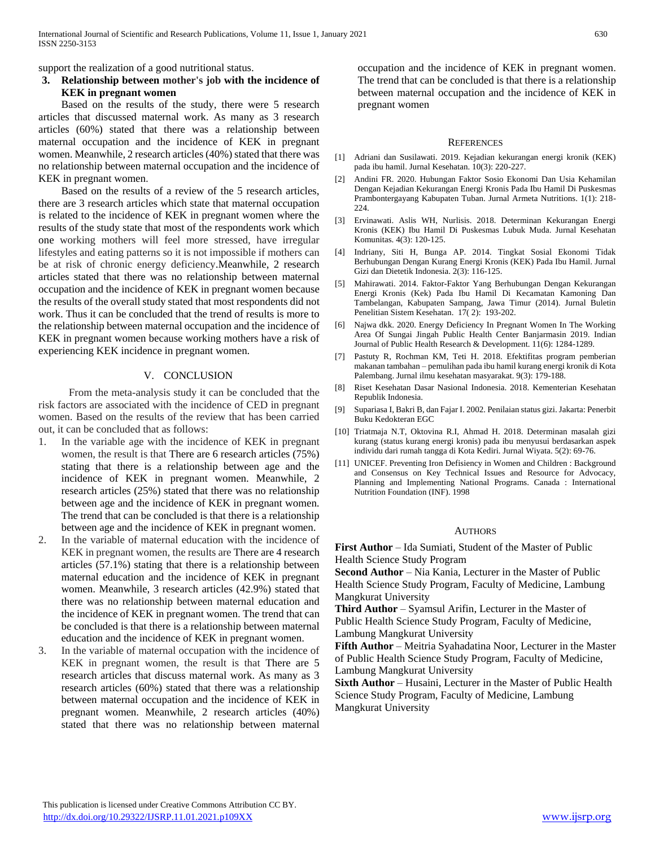support the realization of a good nutritional status.

## **3. Relationship between mother's job with the incidence of KEK in pregnant women**

Based on the results of the study, there were 5 research articles that discussed maternal work. As many as 3 research articles (60%) stated that there was a relationship between maternal occupation and the incidence of KEK in pregnant women. Meanwhile, 2 research articles (40%) stated that there was no relationship between maternal occupation and the incidence of KEK in pregnant women.

Based on the results of a review of the 5 research articles, there are 3 research articles which state that maternal occupation is related to the incidence of KEK in pregnant women where the results of the study state that most of the respondents work which one working mothers will feel more stressed, have irregular lifestyles and eating patterns so it is not impossible if mothers can be at risk of chronic energy deficiency.Meanwhile, 2 research articles stated that there was no relationship between maternal occupation and the incidence of KEK in pregnant women because the results of the overall study stated that most respondents did not work. Thus it can be concluded that the trend of results is more to the relationship between maternal occupation and the incidence of KEK in pregnant women because working mothers have a risk of experiencing KEK incidence in pregnant women.

### V. CONCLUSION

From the meta-analysis study it can be concluded that the risk factors are associated with the incidence of CED in pregnant women. Based on the results of the review that has been carried out, it can be concluded that as follows:

- 1. In the variable age with the incidence of KEK in pregnant women, the result is that There are 6 research articles (75%) stating that there is a relationship between age and the incidence of KEK in pregnant women. Meanwhile, 2 research articles (25%) stated that there was no relationship between age and the incidence of KEK in pregnant women. The trend that can be concluded is that there is a relationship between age and the incidence of KEK in pregnant women.
- 2. In the variable of maternal education with the incidence of KEK in pregnant women, the results are There are 4 research articles (57.1%) stating that there is a relationship between maternal education and the incidence of KEK in pregnant women. Meanwhile, 3 research articles (42.9%) stated that there was no relationship between maternal education and the incidence of KEK in pregnant women. The trend that can be concluded is that there is a relationship between maternal education and the incidence of KEK in pregnant women.
- 3. In the variable of maternal occupation with the incidence of KEK in pregnant women, the result is that There are 5 research articles that discuss maternal work. As many as 3 research articles (60%) stated that there was a relationship between maternal occupation and the incidence of KEK in pregnant women. Meanwhile, 2 research articles (40%) stated that there was no relationship between maternal

occupation and the incidence of KEK in pregnant women. The trend that can be concluded is that there is a relationship between maternal occupation and the incidence of KEK in pregnant women

#### **REFERENCES**

- [1] Adriani dan Susilawati. 2019. Kejadian kekurangan energi kronik (KEK) pada ibu hamil. Jurnal Kesehatan. 10(3): 220-227.
- [2] Andini FR. 2020. Hubungan Faktor Sosio Ekonomi Dan Usia Kehamilan Dengan Kejadian Kekurangan Energi Kronis Pada Ibu Hamil Di Puskesmas Prambontergayang Kabupaten Tuban. Jurnal Armeta Nutritions. 1(1): 218- 224.
- [3] Ervinawati. Aslis WH, Nurlisis. 2018. Determinan Kekurangan Energi Kronis (KEK) Ibu Hamil Di Puskesmas Lubuk Muda. Jurnal Kesehatan Komunitas. 4(3): 120-125.
- [4] Indriany, Siti H, Bunga AP. 2014. Tingkat Sosial Ekonomi Tidak Berhubungan Dengan Kurang Energi Kronis (KEK) Pada Ibu Hamil. Jurnal Gizi dan Dietetik Indonesia. 2(3): 116-125.
- [5] Mahirawati. 2014. Faktor-Faktor Yang Berhubungan Dengan Kekurangan Energi Kronis (Kek) Pada Ibu Hamil Di Kecamatan Kamoning Dan Tambelangan, Kabupaten Sampang, Jawa Timur (2014). Jurnal Buletin Penelitian Sistem Kesehatan. 17( 2): 193-202.
- [6] Najwa dkk. 2020. Energy Deficiency In Pregnant Women In The Working Area Of Sungai Jingah Public Health Center Banjarmasin 2019. Indian Journal of Public Health Research & Development. 11(6): 1284-1289.
- [7] Pastuty R, Rochman KM, Teti H. 2018. Efektifitas program pemberian makanan tambahan – pemulihan pada ibu hamil kurang energi kronik di Kota Palembang. Jurnal ilmu kesehatan masyarakat. 9(3): 179-188.
- [8] Riset Kesehatan Dasar Nasional Indonesia. 2018. Kementerian Kesehatan Republik Indonesia.
- [9] Supariasa I, Bakri B, dan Fajar I. 2002. Penilaian status gizi. Jakarta: Penerbit Buku Kedokteran EGC
- [10] Triatmaja N.T, Oktovina R.I, Ahmad H. 2018. Determinan masalah gizi kurang (status kurang energi kronis) pada ibu menyusui berdasarkan aspek individu dari rumah tangga di Kota Kediri. Jurnal Wiyata. 5(2): 69-76.
- [11] UNICEF. Preventing Iron Defisiency in Women and Children : Background and Consensus on Key Technical Issues and Resource for Advocacy, Planning and Implementing National Programs. Canada : International Nutrition Foundation (INF). 1998

#### AUTHORS

**First Author** – Ida Sumiati, Student of the Master of Public Health Science Study Program

**Second Author** – Nia Kania, Lecturer in the Master of Public Health Science Study Program, Faculty of Medicine, Lambung Mangkurat University

**Third Author** – Syamsul Arifin, Lecturer in the Master of Public Health Science Study Program, Faculty of Medicine, Lambung Mangkurat University

**Fifth Author** – Meitria Syahadatina Noor, Lecturer in the Master of Public Health Science Study Program, Faculty of Medicine, Lambung Mangkurat University

**Sixth Author** – Husaini, Lecturer in the Master of Public Health Science Study Program, Faculty of Medicine, Lambung Mangkurat University